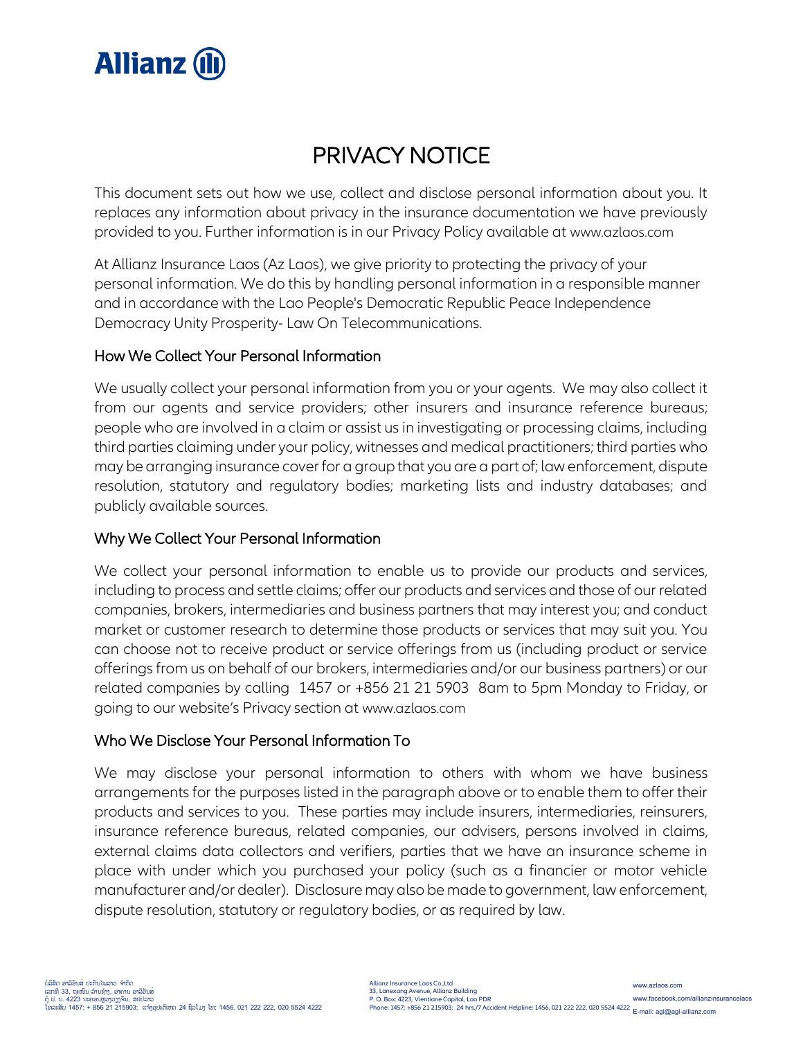

# PRIVACY NOTICE

This document sets out how we use, collect and disclose personal information about you. It replaces any information about privacy in the insurance documentation we have previously provided to you. Further information is in our Privacy Policy available at www.azlaos.com

At Allianz Insurance Laos (Az Laos), we give priority to protecting the privacy of your personal information. We do this by handling personal information in a responsible manner and in accordance with the Lao People's Democratic Republic Peace Independence Democracy Unity Prosperity- Law On Telecommunications.

## How We Collect Your Personal Information

We usually collect your personal information from you or your agents. We may also collect it from our agents and service providers; other insurers and insurance reference bureaus; people who are involved in a claim or assist us in investigating or processing claims, including third parties claiming under your policy, witnesses and medical practitioners; third parties who may be arranging insurance cover for a group that you are a part of; law enforcement, dispute resolution, statutory and regulatory bodies; marketing lists and industry databases; and publicly available sources.

# Why We Collect Your Personal Information

We collect your personal information to enable us to provide our products and services, including to process and settle claims; offer our products and services and those of our related companies, brokers, intermediaries and business partners that may interest you; and conduct market or customer research to determine those products or services that may suit you. You can choose not to receive product or service offerings from us (including product or service offerings from us on behalf of our brokers, intermediaries and/or our business partners) or our related companies by calling 1457 or +856 21 21 5903 8am to 5pm Monday to Friday, or going to our website's Privacy section at www.azlaos.com

## Who We Disclose Your Personal Information To

We may disclose your personal information to others with whom we have business arrangements for the purposes listed in the paragraph above or to enable them to offer their products and services to you. These parties may include insurers, intermediaries, reinsurers, insurance reference bureaus, related companies, our advisers, persons involved in claims, external claims data collectors and verifiers, parties that we have an insurance scheme in place with under which you purchased your policy (such as a financier or motor vehicle manufacturer and/or dealer). Disclosure may also be made to government, law enforcement, dispute resolution, statutory or regulatory bodies, or as required by law.